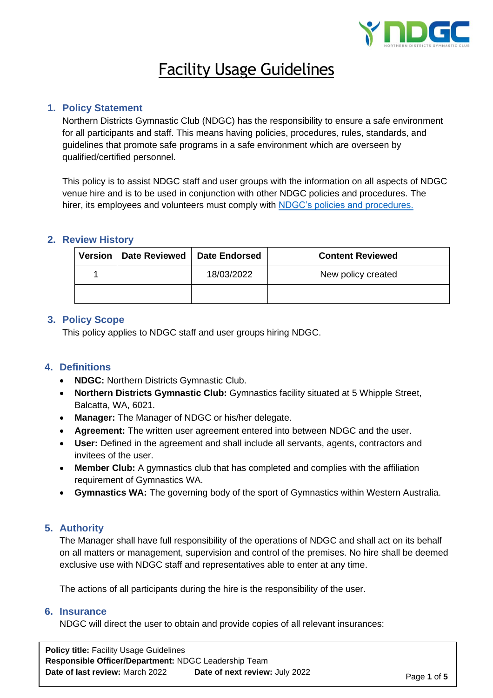

# Facility Usage Guidelines

## **1. Policy Statement**

Northern Districts Gymnastic Club (NDGC) has the responsibility to ensure a safe environment for all participants and staff. This means having policies, procedures, rules, standards, and guidelines that promote safe programs in a safe environment which are overseen by qualified/certified personnel.

This policy is to assist NDGC staff and user groups with the information on all aspects of NDGC venue hire and is to be used in conjunction with other NDGC policies and procedures. The hirer, its employees and volunteers must comply with [NDGC's policies and procedures.](https://ndgc.org.au/policies-procedures/)

## **2. Review History**

| Version | Date Reviewed   Date Endorsed |            | <b>Content Reviewed</b> |
|---------|-------------------------------|------------|-------------------------|
|         |                               | 18/03/2022 | New policy created      |
|         |                               |            |                         |

#### **3. Policy Scope**

This policy applies to NDGC staff and user groups hiring NDGC.

## **4. Definitions**

- **NDGC:** Northern Districts Gymnastic Club.
- **Northern Districts Gymnastic Club:** Gymnastics facility situated at 5 Whipple Street, Balcatta, WA, 6021.
- **Manager:** The Manager of NDGC or his/her delegate.
- **Agreement:** The written user agreement entered into between NDGC and the user.
- **User:** Defined in the agreement and shall include all servants, agents, contractors and invitees of the user.
- **Member Club:** A gymnastics club that has completed and complies with the affiliation requirement of Gymnastics WA.
- **Gymnastics WA:** The governing body of the sport of Gymnastics within Western Australia.

## **5. Authority**

The Manager shall have full responsibility of the operations of NDGC and shall act on its behalf on all matters or management, supervision and control of the premises. No hire shall be deemed exclusive use with NDGC staff and representatives able to enter at any time.

The actions of all participants during the hire is the responsibility of the user.

#### **6. Insurance**

NDGC will direct the user to obtain and provide copies of all relevant insurances:

**Policy title:** Facility Usage Guidelines **Responsible Officer/Department:** NDGC Leadership Team **Date of last review:** March 2022 **Date of next review:** July 2022 **Page 1 of 5**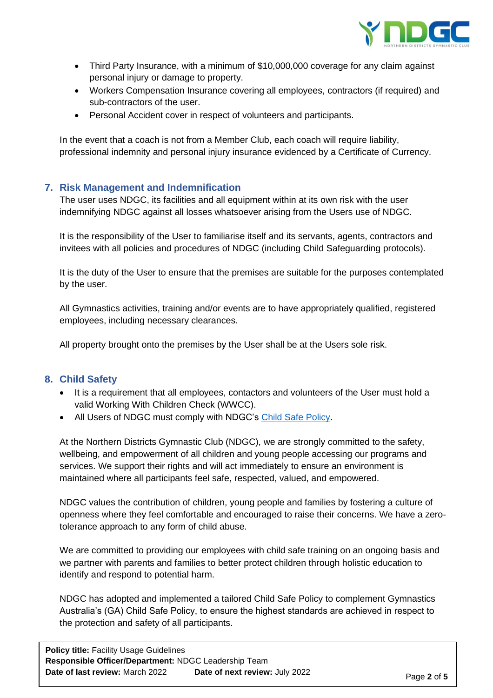

- Third Party Insurance, with a minimum of \$10,000,000 coverage for any claim against personal injury or damage to property.
- Workers Compensation Insurance covering all employees, contractors (if required) and sub-contractors of the user.
- Personal Accident cover in respect of volunteers and participants.

In the event that a coach is not from a Member Club, each coach will require liability, professional indemnity and personal injury insurance evidenced by a Certificate of Currency.

## **7. Risk Management and Indemnification**

The user uses NDGC, its facilities and all equipment within at its own risk with the user indemnifying NDGC against all losses whatsoever arising from the Users use of NDGC.

It is the responsibility of the User to familiarise itself and its servants, agents, contractors and invitees with all policies and procedures of NDGC (including Child Safeguarding protocols).

It is the duty of the User to ensure that the premises are suitable for the purposes contemplated by the user.

All Gymnastics activities, training and/or events are to have appropriately qualified, registered employees, including necessary clearances.

All property brought onto the premises by the User shall be at the Users sole risk.

## **8. Child Safety**

- It is a requirement that all employees, contactors and volunteers of the User must hold a valid Working With Children Check (WWCC).
- All Users of NDGC must comply with NDGC's [Child Safe Policy.](https://ndgc.org.au/wp-content/uploads/2022/01/NDGC-Child-Safe-Policy.pdf)

At the Northern Districts Gymnastic Club (NDGC), we are strongly committed to the safety, wellbeing, and empowerment of all children and young people accessing our programs and services. We support their rights and will act immediately to ensure an environment is maintained where all participants feel safe, respected, valued, and empowered.

NDGC values the contribution of children, young people and families by fostering a culture of openness where they feel comfortable and encouraged to raise their concerns. We have a zerotolerance approach to any form of child abuse.

We are committed to providing our employees with child safe training on an ongoing basis and we partner with parents and families to better protect children through holistic education to identify and respond to potential harm.

NDGC has adopted and implemented a tailored Child Safe Policy to complement Gymnastics Australia's (GA) Child Safe Policy, to ensure the highest standards are achieved in respect to the protection and safety of all participants.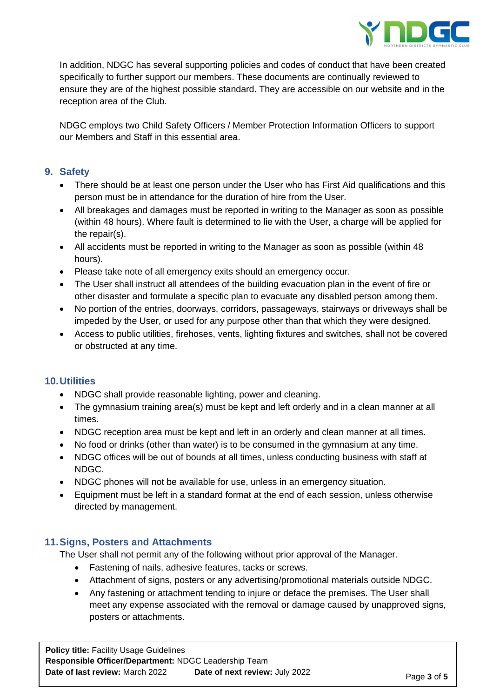

In addition, NDGC has several supporting policies and codes of conduct that have been created specifically to further support our members. These documents are continually reviewed to ensure they are of the highest possible standard. They are accessible on our website and in the reception area of the Club.

NDGC employs two Child Safety Officers / Member Protection Information Officers to support our Members and Staff in this essential area.

# **9. Safety**

- There should be at least one person under the User who has First Aid qualifications and this person must be in attendance for the duration of hire from the User.
- All breakages and damages must be reported in writing to the Manager as soon as possible (within 48 hours). Where fault is determined to lie with the User, a charge will be applied for the repair(s).
- All accidents must be reported in writing to the Manager as soon as possible (within 48 hours).
- Please take note of all emergency exits should an emergency occur.
- The User shall instruct all attendees of the building evacuation plan in the event of fire or other disaster and formulate a specific plan to evacuate any disabled person among them.
- No portion of the entries, doorways, corridors, passageways, stairways or driveways shall be impeded by the User, or used for any purpose other than that which they were designed.
- Access to public utilities, firehoses, vents, lighting fixtures and switches, shall not be covered or obstructed at any time.

## **10.Utilities**

- NDGC shall provide reasonable lighting, power and cleaning.
- The gymnasium training area(s) must be kept and left orderly and in a clean manner at all times.
- NDGC reception area must be kept and left in an orderly and clean manner at all times.
- No food or drinks (other than water) is to be consumed in the gymnasium at any time.
- NDGC offices will be out of bounds at all times, unless conducting business with staff at NDGC.
- NDGC phones will not be available for use, unless in an emergency situation.
- Equipment must be left in a standard format at the end of each session, unless otherwise directed by management.

## **11.Signs, Posters and Attachments**

The User shall not permit any of the following without prior approval of the Manager.

- Fastening of nails, adhesive features, tacks or screws.
- Attachment of signs, posters or any advertising/promotional materials outside NDGC.
- Any fastening or attachment tending to injure or deface the premises. The User shall meet any expense associated with the removal or damage caused by unapproved signs, posters or attachments.

**Policy title:** Facility Usage Guidelines **Responsible Officer/Department:** NDGC Leadership Team **Date of last review:** March 2022 **Date of next review:** July 2022 **Page 3 of 5**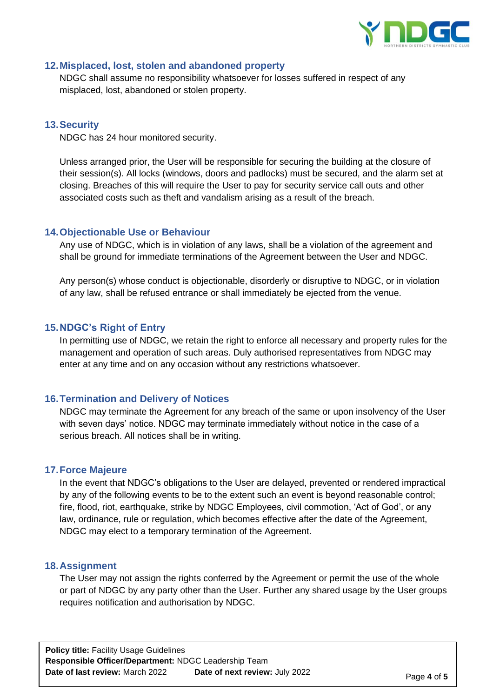

## **12.Misplaced, lost, stolen and abandoned property**

NDGC shall assume no responsibility whatsoever for losses suffered in respect of any misplaced, lost, abandoned or stolen property.

## **13.Security**

NDGC has 24 hour monitored security.

Unless arranged prior, the User will be responsible for securing the building at the closure of their session(s). All locks (windows, doors and padlocks) must be secured, and the alarm set at closing. Breaches of this will require the User to pay for security service call outs and other associated costs such as theft and vandalism arising as a result of the breach.

#### **14.Objectionable Use or Behaviour**

Any use of NDGC, which is in violation of any laws, shall be a violation of the agreement and shall be ground for immediate terminations of the Agreement between the User and NDGC.

Any person(s) whose conduct is objectionable, disorderly or disruptive to NDGC, or in violation of any law, shall be refused entrance or shall immediately be ejected from the venue.

#### **15.NDGC's Right of Entry**

In permitting use of NDGC, we retain the right to enforce all necessary and property rules for the management and operation of such areas. Duly authorised representatives from NDGC may enter at any time and on any occasion without any restrictions whatsoever.

#### **16.Termination and Delivery of Notices**

NDGC may terminate the Agreement for any breach of the same or upon insolvency of the User with seven days' notice. NDGC may terminate immediately without notice in the case of a serious breach. All notices shall be in writing.

#### **17.Force Majeure**

In the event that NDGC's obligations to the User are delayed, prevented or rendered impractical by any of the following events to be to the extent such an event is beyond reasonable control; fire, flood, riot, earthquake, strike by NDGC Employees, civil commotion, 'Act of God', or any law, ordinance, rule or regulation, which becomes effective after the date of the Agreement, NDGC may elect to a temporary termination of the Agreement.

#### **18.Assignment**

The User may not assign the rights conferred by the Agreement or permit the use of the whole or part of NDGC by any party other than the User. Further any shared usage by the User groups requires notification and authorisation by NDGC.